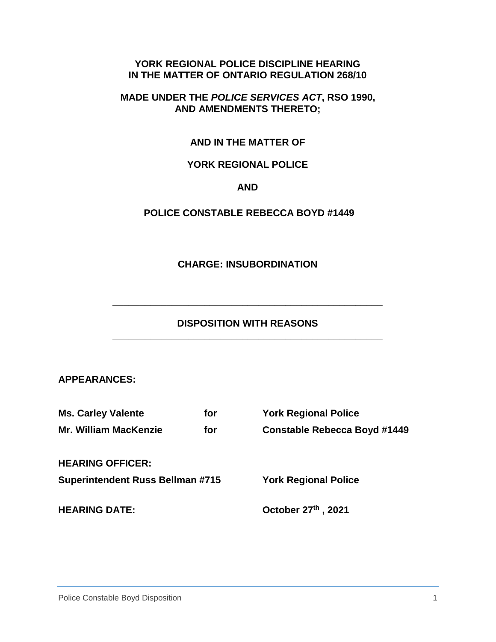#### **YORK REGIONAL POLICE DISCIPLINE HEARING IN THE MATTER OF ONTARIO REGULATION 268/10**

#### **MADE UNDER THE** *POLICE SERVICES ACT***, RSO 1990, AND AMENDMENTS THERETO;**

## **AND IN THE MATTER OF**

## **YORK REGIONAL POLICE**

#### **AND**

## **POLICE CONSTABLE REBECCA BOYD #1449**

#### **CHARGE: INSUBORDINATION**

#### **DISPOSITION WITH REASONS \_\_\_\_\_\_\_\_\_\_\_\_\_\_\_\_\_\_\_\_\_\_\_\_\_\_\_\_\_\_\_\_\_\_\_\_\_\_\_\_\_\_\_\_\_\_\_\_\_\_**

**\_\_\_\_\_\_\_\_\_\_\_\_\_\_\_\_\_\_\_\_\_\_\_\_\_\_\_\_\_\_\_\_\_\_\_\_\_\_\_\_\_\_\_\_\_\_\_\_\_\_**

#### **APPEARANCES:**

| <b>Ms. Carley Valente</b>               | for | <b>York Regional Police</b>         |
|-----------------------------------------|-----|-------------------------------------|
| <b>Mr. William MacKenzie</b>            | for | <b>Constable Rebecca Boyd #1449</b> |
| <b>HEARING OFFICER:</b>                 |     |                                     |
| <b>Superintendent Russ Bellman #715</b> |     | <b>York Regional Police</b>         |
| <b>HEARING DATE:</b>                    |     | October 27th, 2021                  |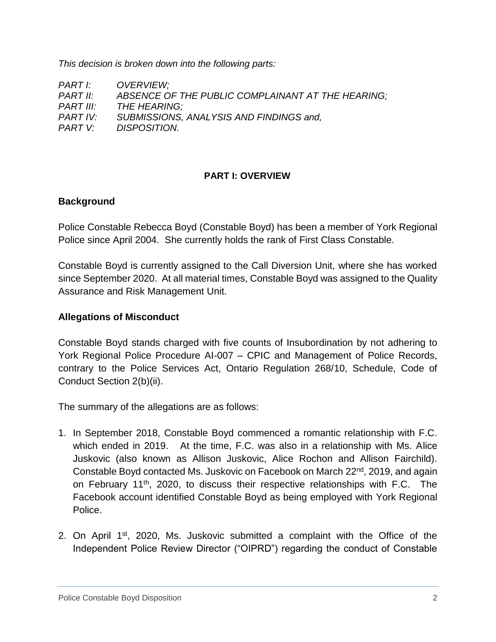*This decision is broken down into the following parts:* 

| PART I:   | OVERVIEW;                                         |
|-----------|---------------------------------------------------|
| PART II:  | ABSENCE OF THE PUBLIC COMPLAINANT AT THE HEARING; |
| PART III: | THE HEARING:                                      |
| PART IV:  | SUBMISSIONS, ANALYSIS AND FINDINGS and,           |
| PART V:   | DISPOSITION.                                      |

#### **PART I: OVERVIEW**

#### **Background**

Police Constable Rebecca Boyd (Constable Boyd) has been a member of York Regional Police since April 2004. She currently holds the rank of First Class Constable.

Constable Boyd is currently assigned to the Call Diversion Unit, where she has worked since September 2020. At all material times, Constable Boyd was assigned to the Quality Assurance and Risk Management Unit.

#### **Allegations of Misconduct**

Constable Boyd stands charged with five counts of Insubordination by not adhering to York Regional Police Procedure AI-007 – CPIC and Management of Police Records, contrary to the Police Services Act, Ontario Regulation 268/10, Schedule, Code of Conduct Section 2(b)(ii).

The summary of the allegations are as follows:

- 1. In September 2018, Constable Boyd commenced a romantic relationship with F.C. which ended in 2019. At the time, F.C. was also in a relationship with Ms. Alice Juskovic (also known as Allison Juskovic, Alice Rochon and Allison Fairchild). Constable Boyd contacted Ms. Juskovic on Facebook on March 22<sup>nd</sup>, 2019, and again on February 11<sup>th</sup>, 2020, to discuss their respective relationships with F.C. The Facebook account identified Constable Boyd as being employed with York Regional Police.
- 2. On April 1<sup>st</sup>, 2020, Ms. Juskovic submitted a complaint with the Office of the Independent Police Review Director ("OIPRD") regarding the conduct of Constable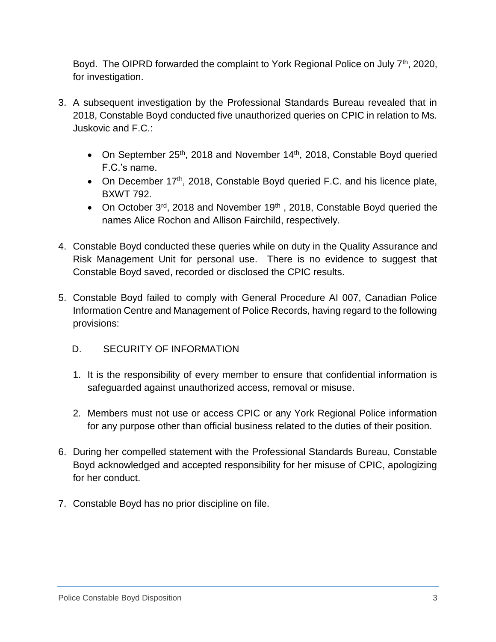Boyd. The OIPRD forwarded the complaint to York Regional Police on July  $7<sup>th</sup>$ , 2020, for investigation.

- 3. A subsequent investigation by the Professional Standards Bureau revealed that in 2018, Constable Boyd conducted five unauthorized queries on CPIC in relation to Ms. Juskovic and F.C.:
	- On September  $25<sup>th</sup>$ , 2018 and November 14<sup>th</sup>, 2018, Constable Boyd queried F.C.'s name.
	- On December 17<sup>th</sup>, 2018, Constable Boyd queried F.C. and his licence plate, BXWT 792.
	- On October  $3^{rd}$ , 2018 and November 19<sup>th</sup>, 2018, Constable Boyd queried the names Alice Rochon and Allison Fairchild, respectively.
- 4. Constable Boyd conducted these queries while on duty in the Quality Assurance and Risk Management Unit for personal use. There is no evidence to suggest that Constable Boyd saved, recorded or disclosed the CPIC results.
- 5. Constable Boyd failed to comply with General Procedure AI 007, Canadian Police Information Centre and Management of Police Records, having regard to the following provisions:
	- D. SECURITY OF INFORMATION
	- 1. It is the responsibility of every member to ensure that confidential information is safeguarded against unauthorized access, removal or misuse.
	- 2. Members must not use or access CPIC or any York Regional Police information for any purpose other than official business related to the duties of their position.
- 6. During her compelled statement with the Professional Standards Bureau, Constable Boyd acknowledged and accepted responsibility for her misuse of CPIC, apologizing for her conduct.
- 7. Constable Boyd has no prior discipline on file.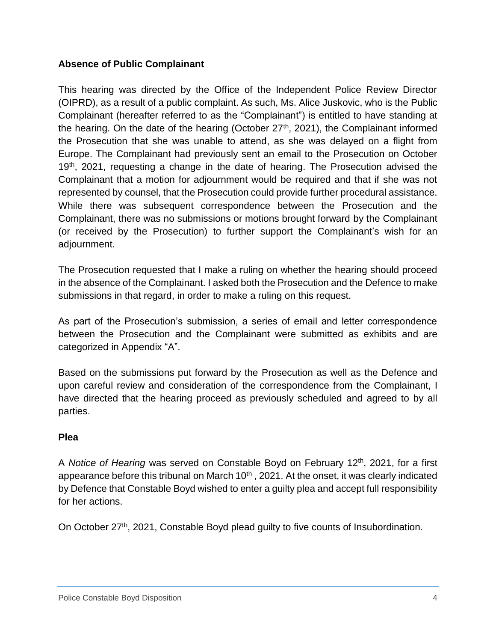## **Absence of Public Complainant**

This hearing was directed by the Office of the Independent Police Review Director (OIPRD), as a result of a public complaint. As such, Ms. Alice Juskovic, who is the Public Complainant (hereafter referred to as the "Complainant") is entitled to have standing at the hearing. On the date of the hearing (October 27<sup>th</sup>, 2021), the Complainant informed the Prosecution that she was unable to attend, as she was delayed on a flight from Europe. The Complainant had previously sent an email to the Prosecution on October 19<sup>th</sup>, 2021, requesting a change in the date of hearing. The Prosecution advised the Complainant that a motion for adjournment would be required and that if she was not represented by counsel, that the Prosecution could provide further procedural assistance. While there was subsequent correspondence between the Prosecution and the Complainant, there was no submissions or motions brought forward by the Complainant (or received by the Prosecution) to further support the Complainant's wish for an adjournment.

The Prosecution requested that I make a ruling on whether the hearing should proceed in the absence of the Complainant. I asked both the Prosecution and the Defence to make submissions in that regard, in order to make a ruling on this request.

As part of the Prosecution's submission, a series of email and letter correspondence between the Prosecution and the Complainant were submitted as exhibits and are categorized in Appendix "A".

Based on the submissions put forward by the Prosecution as well as the Defence and upon careful review and consideration of the correspondence from the Complainant, I have directed that the hearing proceed as previously scheduled and agreed to by all parties.

## **Plea**

A *Notice of Hearing* was served on Constable Boyd on February 12th, 2021, for a first appearance before this tribunal on March  $10<sup>th</sup>$ , 2021. At the onset, it was clearly indicated by Defence that Constable Boyd wished to enter a guilty plea and accept full responsibility for her actions.

On October 27<sup>th</sup>, 2021, Constable Boyd plead quilty to five counts of Insubordination.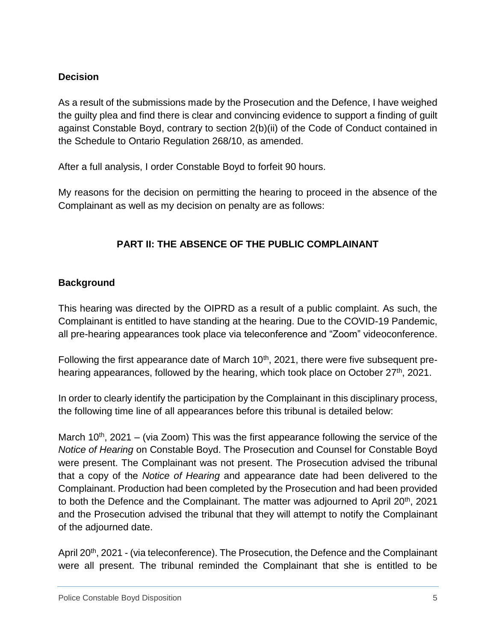## **Decision**

As a result of the submissions made by the Prosecution and the Defence, I have weighed the guilty plea and find there is clear and convincing evidence to support a finding of guilt against Constable Boyd, contrary to section 2(b)(ii) of the Code of Conduct contained in the Schedule to Ontario Regulation 268/10, as amended.

After a full analysis, I order Constable Boyd to forfeit 90 hours.

My reasons for the decision on permitting the hearing to proceed in the absence of the Complainant as well as my decision on penalty are as follows:

# **PART II: THE ABSENCE OF THE PUBLIC COMPLAINANT**

# **Background**

This hearing was directed by the OIPRD as a result of a public complaint. As such, the Complainant is entitled to have standing at the hearing. Due to the COVID-19 Pandemic, all pre-hearing appearances took place via teleconference and "Zoom" videoconference.

Following the first appearance date of March 10<sup>th</sup>, 2021, there were five subsequent prehearing appearances, followed by the hearing, which took place on October 27<sup>th</sup>, 2021.

In order to clearly identify the participation by the Complainant in this disciplinary process, the following time line of all appearances before this tribunal is detailed below:

March 10<sup>th</sup>, 2021 – (via Zoom) This was the first appearance following the service of the *Notice of Hearing* on Constable Boyd. The Prosecution and Counsel for Constable Boyd were present. The Complainant was not present. The Prosecution advised the tribunal that a copy of the *Notice of Hearing* and appearance date had been delivered to the Complainant. Production had been completed by the Prosecution and had been provided to both the Defence and the Complainant. The matter was adjourned to April 20<sup>th</sup>, 2021 and the Prosecution advised the tribunal that they will attempt to notify the Complainant of the adjourned date.

April 20<sup>th</sup>, 2021 - (via teleconference). The Prosecution, the Defence and the Complainant were all present. The tribunal reminded the Complainant that she is entitled to be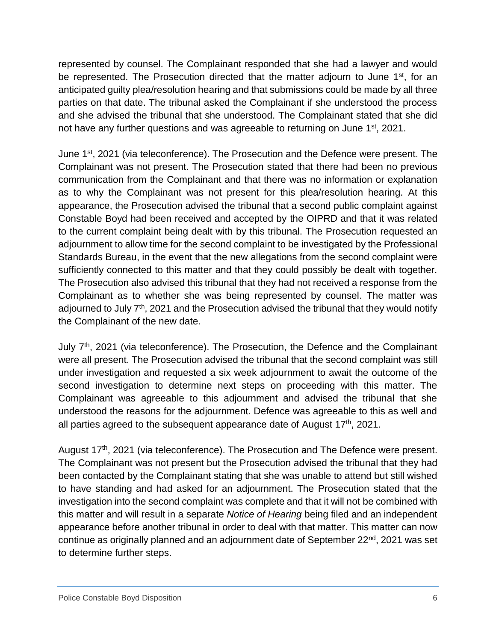represented by counsel. The Complainant responded that she had a lawyer and would be represented. The Prosecution directed that the matter adjourn to June 1<sup>st</sup>, for an anticipated guilty plea/resolution hearing and that submissions could be made by all three parties on that date. The tribunal asked the Complainant if she understood the process and she advised the tribunal that she understood. The Complainant stated that she did not have any further questions and was agreeable to returning on June 1<sup>st</sup>, 2021.

June 1<sup>st</sup>, 2021 (via teleconference). The Prosecution and the Defence were present. The Complainant was not present. The Prosecution stated that there had been no previous communication from the Complainant and that there was no information or explanation as to why the Complainant was not present for this plea/resolution hearing. At this appearance, the Prosecution advised the tribunal that a second public complaint against Constable Boyd had been received and accepted by the OIPRD and that it was related to the current complaint being dealt with by this tribunal. The Prosecution requested an adjournment to allow time for the second complaint to be investigated by the Professional Standards Bureau, in the event that the new allegations from the second complaint were sufficiently connected to this matter and that they could possibly be dealt with together. The Prosecution also advised this tribunal that they had not received a response from the Complainant as to whether she was being represented by counsel. The matter was adjourned to July  $7<sup>th</sup>$ , 2021 and the Prosecution advised the tribunal that they would notify the Complainant of the new date.

July 7<sup>th</sup>, 2021 (via teleconference). The Prosecution, the Defence and the Complainant were all present. The Prosecution advised the tribunal that the second complaint was still under investigation and requested a six week adjournment to await the outcome of the second investigation to determine next steps on proceeding with this matter. The Complainant was agreeable to this adjournment and advised the tribunal that she understood the reasons for the adjournment. Defence was agreeable to this as well and all parties agreed to the subsequent appearance date of August  $17<sup>th</sup>$ , 2021.

August 17<sup>th</sup>, 2021 (via teleconference). The Prosecution and The Defence were present. The Complainant was not present but the Prosecution advised the tribunal that they had been contacted by the Complainant stating that she was unable to attend but still wished to have standing and had asked for an adjournment. The Prosecution stated that the investigation into the second complaint was complete and that it will not be combined with this matter and will result in a separate *Notice of Hearing* being filed and an independent appearance before another tribunal in order to deal with that matter. This matter can now continue as originally planned and an adjournment date of September 22<sup>nd</sup>, 2021 was set to determine further steps.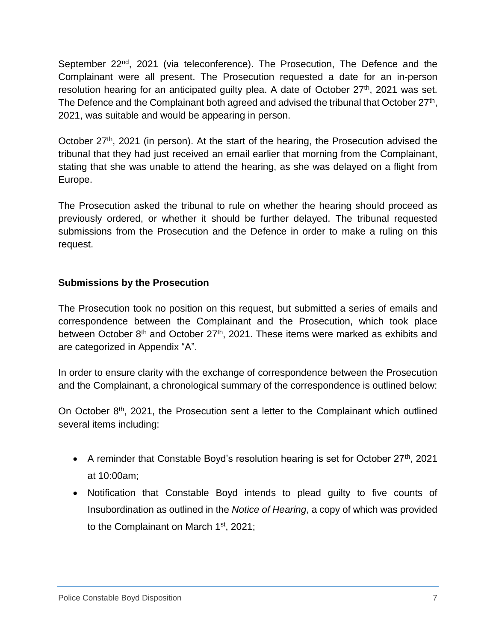September 22<sup>nd</sup>, 2021 (via teleconference). The Prosecution, The Defence and the Complainant were all present. The Prosecution requested a date for an in-person resolution hearing for an anticipated guilty plea. A date of October 27<sup>th</sup>, 2021 was set. The Defence and the Complainant both agreed and advised the tribunal that October  $27<sup>th</sup>$ , 2021, was suitable and would be appearing in person.

October  $27<sup>th</sup>$ , 2021 (in person). At the start of the hearing, the Prosecution advised the tribunal that they had just received an email earlier that morning from the Complainant, stating that she was unable to attend the hearing, as she was delayed on a flight from Europe.

The Prosecution asked the tribunal to rule on whether the hearing should proceed as previously ordered, or whether it should be further delayed. The tribunal requested submissions from the Prosecution and the Defence in order to make a ruling on this request.

## **Submissions by the Prosecution**

The Prosecution took no position on this request, but submitted a series of emails and correspondence between the Complainant and the Prosecution, which took place between October 8<sup>th</sup> and October 27<sup>th</sup>, 2021. These items were marked as exhibits and are categorized in Appendix "A".

In order to ensure clarity with the exchange of correspondence between the Prosecution and the Complainant, a chronological summary of the correspondence is outlined below:

On October 8<sup>th</sup>, 2021, the Prosecution sent a letter to the Complainant which outlined several items including:

- A reminder that Constable Boyd's resolution hearing is set for October  $27<sup>th</sup>$ , 2021 at 10:00am;
- Notification that Constable Boyd intends to plead guilty to five counts of Insubordination as outlined in the *Notice of Hearing*, a copy of which was provided to the Complainant on March 1st, 2021;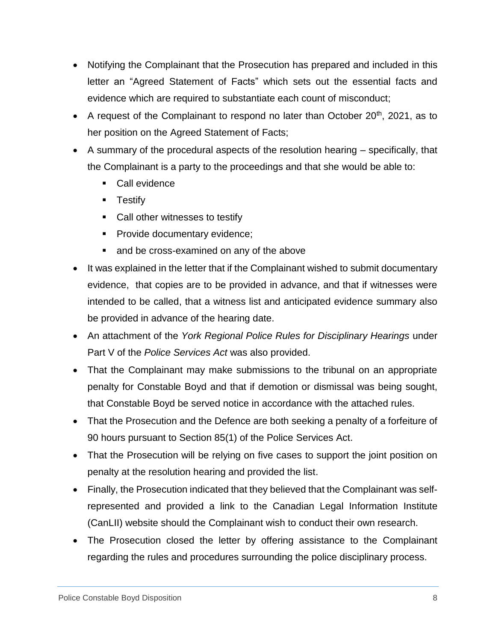- Notifying the Complainant that the Prosecution has prepared and included in this letter an "Agreed Statement of Facts" which sets out the essential facts and evidence which are required to substantiate each count of misconduct;
- A request of the Complainant to respond no later than October  $20<sup>th</sup>$ , 2021, as to her position on the Agreed Statement of Facts;
- A summary of the procedural aspects of the resolution hearing specifically, that the Complainant is a party to the proceedings and that she would be able to:
	- Call evidence
	- **Testify**
	- Call other witnesses to testify
	- **Provide documentary evidence;**
	- and be cross-examined on any of the above
- It was explained in the letter that if the Complainant wished to submit documentary evidence, that copies are to be provided in advance, and that if witnesses were intended to be called, that a witness list and anticipated evidence summary also be provided in advance of the hearing date.
- An attachment of the *York Regional Police Rules for Disciplinary Hearings* under Part V of the *Police Services Act* was also provided.
- That the Complainant may make submissions to the tribunal on an appropriate penalty for Constable Boyd and that if demotion or dismissal was being sought, that Constable Boyd be served notice in accordance with the attached rules.
- That the Prosecution and the Defence are both seeking a penalty of a forfeiture of 90 hours pursuant to Section 85(1) of the Police Services Act.
- That the Prosecution will be relying on five cases to support the joint position on penalty at the resolution hearing and provided the list.
- Finally, the Prosecution indicated that they believed that the Complainant was selfrepresented and provided a link to the Canadian Legal Information Institute (CanLII) website should the Complainant wish to conduct their own research.
- The Prosecution closed the letter by offering assistance to the Complainant regarding the rules and procedures surrounding the police disciplinary process.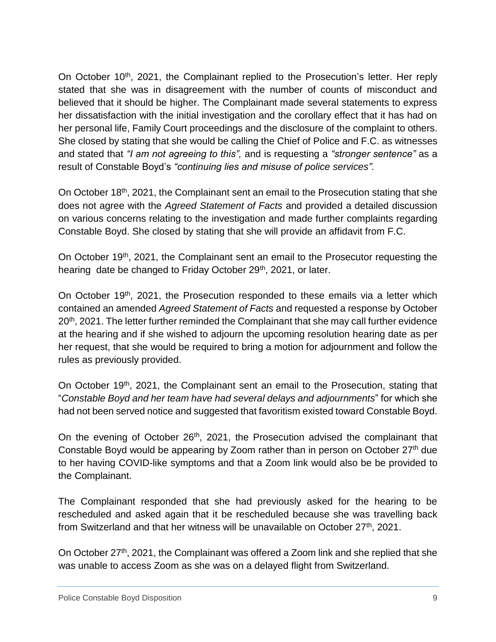On October 10<sup>th</sup>, 2021, the Complainant replied to the Prosecution's letter. Her reply stated that she was in disagreement with the number of counts of misconduct and believed that it should be higher. The Complainant made several statements to express her dissatisfaction with the initial investigation and the corollary effect that it has had on her personal life, Family Court proceedings and the disclosure of the complaint to others. She closed by stating that she would be calling the Chief of Police and F.C. as witnesses and stated that *"I am not agreeing to this",* and is requesting a *"stronger sentence"* as a result of Constable Boyd's *"continuing lies and misuse of police services".* 

On October 18<sup>th</sup>, 2021, the Complainant sent an email to the Prosecution stating that she does not agree with the *Agreed Statement of Facts* and provided a detailed discussion on various concerns relating to the investigation and made further complaints regarding Constable Boyd. She closed by stating that she will provide an affidavit from F.C.

On October 19<sup>th</sup>, 2021, the Complainant sent an email to the Prosecutor requesting the hearing date be changed to Friday October 29<sup>th</sup>, 2021, or later.

On October 19<sup>th</sup>, 2021, the Prosecution responded to these emails via a letter which contained an amended *Agreed Statement of Facts* and requested a response by October 20<sup>th</sup>, 2021. The letter further reminded the Complainant that she may call further evidence at the hearing and if she wished to adjourn the upcoming resolution hearing date as per her request, that she would be required to bring a motion for adjournment and follow the rules as previously provided.

On October 19<sup>th</sup>, 2021, the Complainant sent an email to the Prosecution, stating that "*Constable Boyd and her team have had several delays and adjournments*" for which she had not been served notice and suggested that favoritism existed toward Constable Boyd.

On the evening of October 26<sup>th</sup>, 2021, the Prosecution advised the complainant that Constable Boyd would be appearing by Zoom rather than in person on October 27<sup>th</sup> due to her having COVID-like symptoms and that a Zoom link would also be be provided to the Complainant.

The Complainant responded that she had previously asked for the hearing to be rescheduled and asked again that it be rescheduled because she was travelling back from Switzerland and that her witness will be unavailable on October  $27<sup>th</sup>$ , 2021.

On October 27th, 2021, the Complainant was offered a Zoom link and she replied that she was unable to access Zoom as she was on a delayed flight from Switzerland.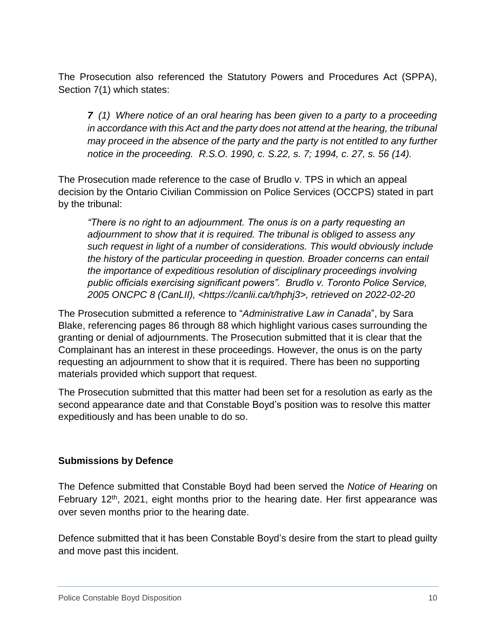The Prosecution also referenced the Statutory Powers and Procedures Act (SPPA), Section 7(1) which states:

*7 (1) Where notice of an oral hearing has been given to a party to a proceeding in accordance with this Act and the party does not attend at the hearing, the tribunal may proceed in the absence of the party and the party is not entitled to any further notice in the proceeding. R.S.O. 1990, c. S.22, s. 7; 1994, c. 27, s. 56 (14).*

The Prosecution made reference to the case of Brudlo v. TPS in which an appeal decision by the Ontario Civilian Commission on Police Services (OCCPS) stated in part by the tribunal:

*"There is no right to an adjournment. The onus is on a party requesting an adjournment to show that it is required. The tribunal is obliged to assess any such request in light of a number of considerations. This would obviously include the history of the particular proceeding in question. Broader concerns can entail the importance of expeditious resolution of disciplinary proceedings involving public officials exercising significant powers". Brudlo v. Toronto Police Service, 2005 ONCPC 8 (CanLII), <https://canlii.ca/t/hphj3>, retrieved on 2022-02-20*

The Prosecution submitted a reference to "*Administrative Law in Canada*", by Sara Blake, referencing pages 86 through 88 which highlight various cases surrounding the granting or denial of adjournments. The Prosecution submitted that it is clear that the Complainant has an interest in these proceedings. However, the onus is on the party requesting an adjournment to show that it is required. There has been no supporting materials provided which support that request.

The Prosecution submitted that this matter had been set for a resolution as early as the second appearance date and that Constable Boyd's position was to resolve this matter expeditiously and has been unable to do so.

## **Submissions by Defence**

The Defence submitted that Constable Boyd had been served the *Notice of Hearing* on February  $12<sup>th</sup>$ , 2021, eight months prior to the hearing date. Her first appearance was over seven months prior to the hearing date.

Defence submitted that it has been Constable Boyd's desire from the start to plead guilty and move past this incident.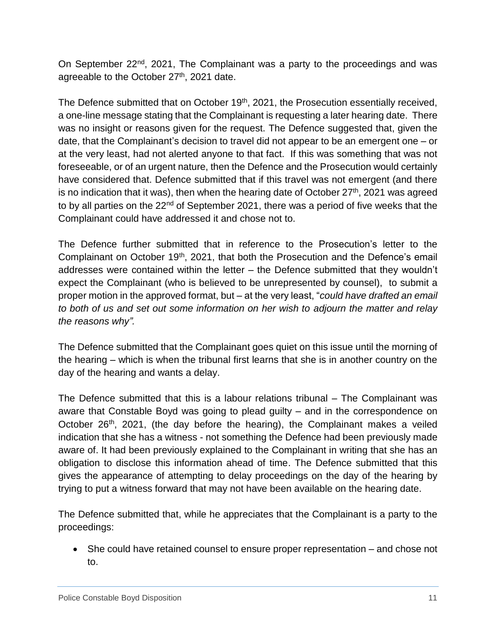On September 22nd, 2021, The Complainant was a party to the proceedings and was agreeable to the October 27<sup>th</sup>, 2021 date.

The Defence submitted that on October 19<sup>th</sup>, 2021, the Prosecution essentially received, a one-line message stating that the Complainant is requesting a later hearing date. There was no insight or reasons given for the request. The Defence suggested that, given the date, that the Complainant's decision to travel did not appear to be an emergent one – or at the very least, had not alerted anyone to that fact. If this was something that was not foreseeable, or of an urgent nature, then the Defence and the Prosecution would certainly have considered that. Defence submitted that if this travel was not emergent (and there is no indication that it was), then when the hearing date of October  $27<sup>th</sup>$ , 2021 was agreed to by all parties on the 22<sup>nd</sup> of September 2021, there was a period of five weeks that the Complainant could have addressed it and chose not to.

The Defence further submitted that in reference to the Prosecution's letter to the Complainant on October 19<sup>th</sup>, 2021, that both the Prosecution and the Defence's email addresses were contained within the letter – the Defence submitted that they wouldn't expect the Complainant (who is believed to be unrepresented by counsel), to submit a proper motion in the approved format, but – at the very least, "*could have drafted an email to both of us and set out some information on her wish to adjourn the matter and relay the reasons why".* 

The Defence submitted that the Complainant goes quiet on this issue until the morning of the hearing – which is when the tribunal first learns that she is in another country on the day of the hearing and wants a delay.

The Defence submitted that this is a labour relations tribunal – The Complainant was aware that Constable Boyd was going to plead guilty – and in the correspondence on October 26<sup>th</sup>, 2021, (the day before the hearing), the Complainant makes a veiled indication that she has a witness - not something the Defence had been previously made aware of. It had been previously explained to the Complainant in writing that she has an obligation to disclose this information ahead of time. The Defence submitted that this gives the appearance of attempting to delay proceedings on the day of the hearing by trying to put a witness forward that may not have been available on the hearing date.

The Defence submitted that, while he appreciates that the Complainant is a party to the proceedings:

 She could have retained counsel to ensure proper representation – and chose not to.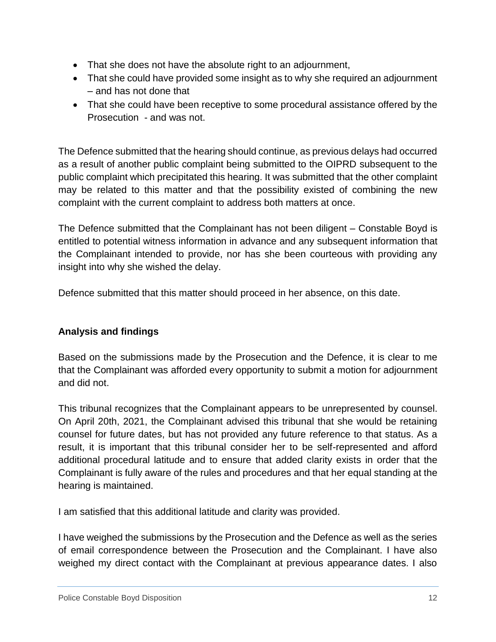- That she does not have the absolute right to an adjournment,
- That she could have provided some insight as to why she required an adjournment – and has not done that
- That she could have been receptive to some procedural assistance offered by the Prosecution - and was not.

The Defence submitted that the hearing should continue, as previous delays had occurred as a result of another public complaint being submitted to the OIPRD subsequent to the public complaint which precipitated this hearing. It was submitted that the other complaint may be related to this matter and that the possibility existed of combining the new complaint with the current complaint to address both matters at once.

The Defence submitted that the Complainant has not been diligent – Constable Boyd is entitled to potential witness information in advance and any subsequent information that the Complainant intended to provide, nor has she been courteous with providing any insight into why she wished the delay.

Defence submitted that this matter should proceed in her absence, on this date.

# **Analysis and findings**

Based on the submissions made by the Prosecution and the Defence, it is clear to me that the Complainant was afforded every opportunity to submit a motion for adjournment and did not.

This tribunal recognizes that the Complainant appears to be unrepresented by counsel. On April 20th, 2021, the Complainant advised this tribunal that she would be retaining counsel for future dates, but has not provided any future reference to that status. As a result, it is important that this tribunal consider her to be self-represented and afford additional procedural latitude and to ensure that added clarity exists in order that the Complainant is fully aware of the rules and procedures and that her equal standing at the hearing is maintained.

I am satisfied that this additional latitude and clarity was provided.

I have weighed the submissions by the Prosecution and the Defence as well as the series of email correspondence between the Prosecution and the Complainant. I have also weighed my direct contact with the Complainant at previous appearance dates. I also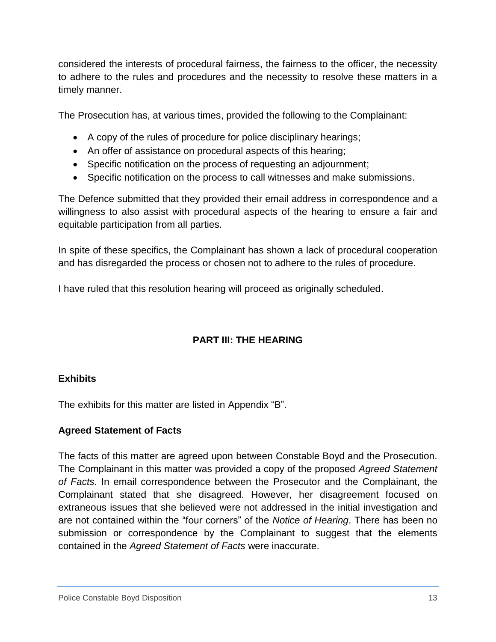considered the interests of procedural fairness, the fairness to the officer, the necessity to adhere to the rules and procedures and the necessity to resolve these matters in a timely manner.

The Prosecution has, at various times, provided the following to the Complainant:

- A copy of the rules of procedure for police disciplinary hearings;
- An offer of assistance on procedural aspects of this hearing;
- Specific notification on the process of requesting an adjournment;
- Specific notification on the process to call witnesses and make submissions.

The Defence submitted that they provided their email address in correspondence and a willingness to also assist with procedural aspects of the hearing to ensure a fair and equitable participation from all parties.

In spite of these specifics, the Complainant has shown a lack of procedural cooperation and has disregarded the process or chosen not to adhere to the rules of procedure.

I have ruled that this resolution hearing will proceed as originally scheduled.

# **PART III: THE HEARING**

## **Exhibits**

The exhibits for this matter are listed in Appendix "B".

## **Agreed Statement of Facts**

The facts of this matter are agreed upon between Constable Boyd and the Prosecution. The Complainant in this matter was provided a copy of the proposed *Agreed Statement of Facts*. In email correspondence between the Prosecutor and the Complainant, the Complainant stated that she disagreed. However, her disagreement focused on extraneous issues that she believed were not addressed in the initial investigation and are not contained within the "four corners" of the *Notice of Hearing*. There has been no submission or correspondence by the Complainant to suggest that the elements contained in the *Agreed Statement of Facts* were inaccurate.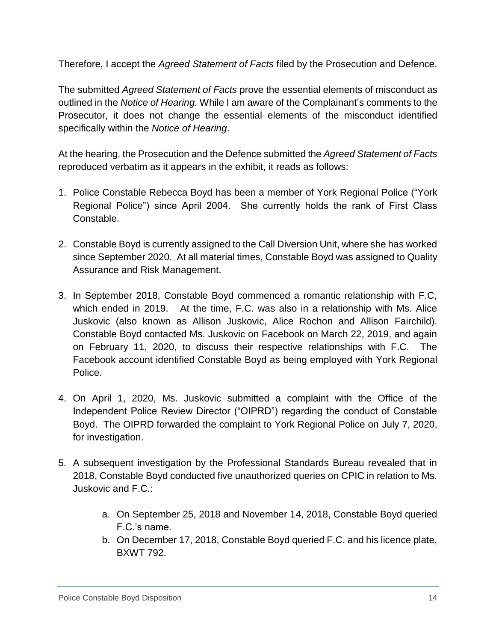Therefore, I accept the *Agreed Statement of Facts* filed by the Prosecution and Defence.

The submitted *Agreed Statement of Facts* prove the essential elements of misconduct as outlined in the *Notice of Hearing.* While I am aware of the Complainant's comments to the Prosecutor, it does not change the essential elements of the misconduct identified specifically within the *Notice of Hearing*.

At the hearing, the Prosecution and the Defence submitted the *Agreed Statement of Facts* reproduced verbatim as it appears in the exhibit, it reads as follows:

- 1. Police Constable Rebecca Boyd has been a member of York Regional Police ("York Regional Police") since April 2004. She currently holds the rank of First Class Constable.
- 2. Constable Boyd is currently assigned to the Call Diversion Unit, where she has worked since September 2020. At all material times, Constable Boyd was assigned to Quality Assurance and Risk Management.
- 3. In September 2018, Constable Boyd commenced a romantic relationship with F.C, which ended in 2019. At the time, F.C. was also in a relationship with Ms. Alice Juskovic (also known as Allison Juskovic, Alice Rochon and Allison Fairchild). Constable Boyd contacted Ms. Juskovic on Facebook on March 22, 2019, and again on February 11, 2020, to discuss their respective relationships with F.C. The Facebook account identified Constable Boyd as being employed with York Regional Police.
- 4. On April 1, 2020, Ms. Juskovic submitted a complaint with the Office of the Independent Police Review Director ("OIPRD") regarding the conduct of Constable Boyd. The OIPRD forwarded the complaint to York Regional Police on July 7, 2020, for investigation.
- 5. A subsequent investigation by the Professional Standards Bureau revealed that in 2018, Constable Boyd conducted five unauthorized queries on CPIC in relation to Ms. Juskovic and F.C.:
	- a. On September 25, 2018 and November 14, 2018, Constable Boyd queried F.C.'s name.
	- b. On December 17, 2018, Constable Boyd queried F.C. and his licence plate, BXWT 792.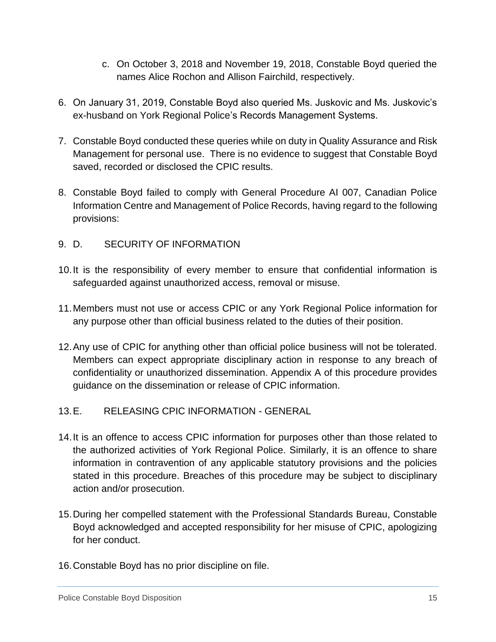- c. On October 3, 2018 and November 19, 2018, Constable Boyd queried the names Alice Rochon and Allison Fairchild, respectively.
- 6. On January 31, 2019, Constable Boyd also queried Ms. Juskovic and Ms. Juskovic's ex-husband on York Regional Police's Records Management Systems.
- 7. Constable Boyd conducted these queries while on duty in Quality Assurance and Risk Management for personal use. There is no evidence to suggest that Constable Boyd saved, recorded or disclosed the CPIC results.
- 8. Constable Boyd failed to comply with General Procedure AI 007, Canadian Police Information Centre and Management of Police Records, having regard to the following provisions:
- 9. D. SECURITY OF INFORMATION
- 10.It is the responsibility of every member to ensure that confidential information is safeguarded against unauthorized access, removal or misuse.
- 11.Members must not use or access CPIC or any York Regional Police information for any purpose other than official business related to the duties of their position.
- 12.Any use of CPIC for anything other than official police business will not be tolerated. Members can expect appropriate disciplinary action in response to any breach of confidentiality or unauthorized dissemination. Appendix A of this procedure provides guidance on the dissemination or release of CPIC information.

# 13.E. RELEASING CPIC INFORMATION - GENERAL

- 14.It is an offence to access CPIC information for purposes other than those related to the authorized activities of York Regional Police. Similarly, it is an offence to share information in contravention of any applicable statutory provisions and the policies stated in this procedure. Breaches of this procedure may be subject to disciplinary action and/or prosecution.
- 15.During her compelled statement with the Professional Standards Bureau, Constable Boyd acknowledged and accepted responsibility for her misuse of CPIC, apologizing for her conduct.
- 16.Constable Boyd has no prior discipline on file.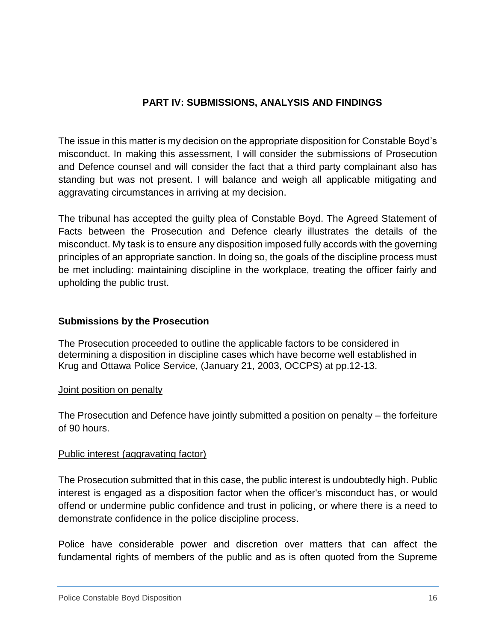# **PART IV: SUBMISSIONS, ANALYSIS AND FINDINGS**

The issue in this matter is my decision on the appropriate disposition for Constable Boyd's misconduct. In making this assessment, I will consider the submissions of Prosecution and Defence counsel and will consider the fact that a third party complainant also has standing but was not present. I will balance and weigh all applicable mitigating and aggravating circumstances in arriving at my decision.

The tribunal has accepted the guilty plea of Constable Boyd. The Agreed Statement of Facts between the Prosecution and Defence clearly illustrates the details of the misconduct. My task is to ensure any disposition imposed fully accords with the governing principles of an appropriate sanction. In doing so, the goals of the discipline process must be met including: maintaining discipline in the workplace, treating the officer fairly and upholding the public trust.

## **Submissions by the Prosecution**

The Prosecution proceeded to outline the applicable factors to be considered in determining a disposition in discipline cases which have become well established in Krug and Ottawa Police Service, (January 21, 2003, OCCPS) at pp.12-13.

## Joint position on penalty

The Prosecution and Defence have jointly submitted a position on penalty – the forfeiture of 90 hours.

## Public interest (aggravating factor)

The Prosecution submitted that in this case, the public interest is undoubtedly high. Public interest is engaged as a disposition factor when the officer's misconduct has, or would offend or undermine public confidence and trust in policing, or where there is a need to demonstrate confidence in the police discipline process.

Police have considerable power and discretion over matters that can affect the fundamental rights of members of the public and as is often quoted from the Supreme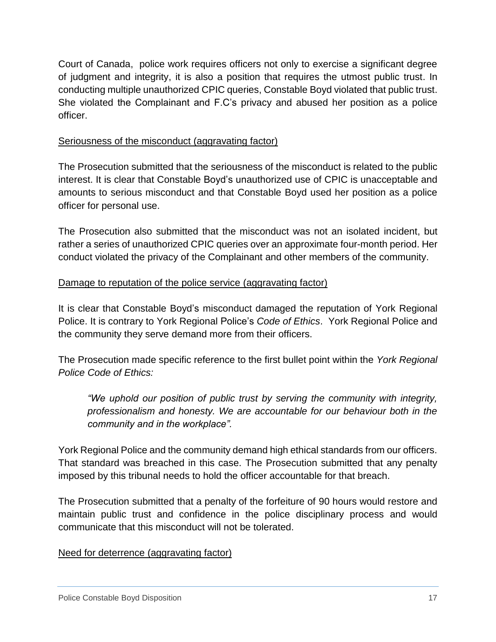Court of Canada, police work requires officers not only to exercise a significant degree of judgment and integrity, it is also a position that requires the utmost public trust. In conducting multiple unauthorized CPIC queries, Constable Boyd violated that public trust. She violated the Complainant and F.C's privacy and abused her position as a police officer.

## Seriousness of the misconduct (aggravating factor)

The Prosecution submitted that the seriousness of the misconduct is related to the public interest. It is clear that Constable Boyd's unauthorized use of CPIC is unacceptable and amounts to serious misconduct and that Constable Boyd used her position as a police officer for personal use.

The Prosecution also submitted that the misconduct was not an isolated incident, but rather a series of unauthorized CPIC queries over an approximate four-month period. Her conduct violated the privacy of the Complainant and other members of the community.

## Damage to reputation of the police service (aggravating factor)

It is clear that Constable Boyd's misconduct damaged the reputation of York Regional Police. It is contrary to York Regional Police's *Code of Ethics*. York Regional Police and the community they serve demand more from their officers.

The Prosecution made specific reference to the first bullet point within the *York Regional Police Code of Ethics:*

*"We uphold our position of public trust by serving the community with integrity, professionalism and honesty. We are accountable for our behaviour both in the community and in the workplace".* 

York Regional Police and the community demand high ethical standards from our officers. That standard was breached in this case. The Prosecution submitted that any penalty imposed by this tribunal needs to hold the officer accountable for that breach.

The Prosecution submitted that a penalty of the forfeiture of 90 hours would restore and maintain public trust and confidence in the police disciplinary process and would communicate that this misconduct will not be tolerated.

#### Need for deterrence (aggravating factor)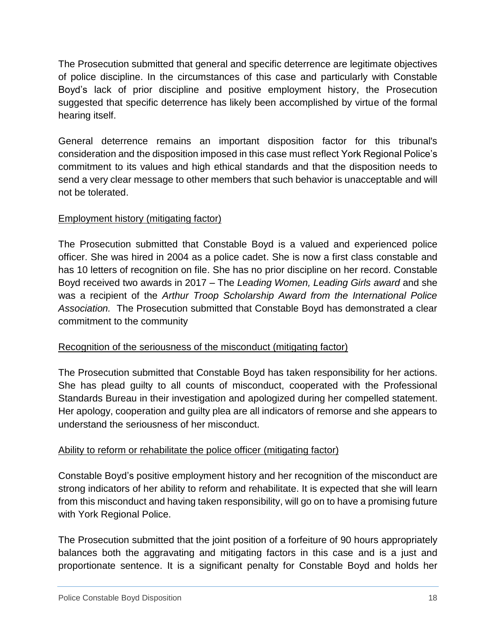The Prosecution submitted that general and specific deterrence are legitimate objectives of police discipline. In the circumstances of this case and particularly with Constable Boyd's lack of prior discipline and positive employment history, the Prosecution suggested that specific deterrence has likely been accomplished by virtue of the formal hearing itself.

General deterrence remains an important disposition factor for this tribunal's consideration and the disposition imposed in this case must reflect York Regional Police's commitment to its values and high ethical standards and that the disposition needs to send a very clear message to other members that such behavior is unacceptable and will not be tolerated.

# Employment history (mitigating factor)

The Prosecution submitted that Constable Boyd is a valued and experienced police officer. She was hired in 2004 as a police cadet. She is now a first class constable and has 10 letters of recognition on file. She has no prior discipline on her record. Constable Boyd received two awards in 2017 – The *Leading Women, Leading Girls award* and she was a recipient of the *Arthur Troop Scholarship Award from the International Police Association.* The Prosecution submitted that Constable Boyd has demonstrated a clear commitment to the community

# Recognition of the seriousness of the misconduct (mitigating factor)

The Prosecution submitted that Constable Boyd has taken responsibility for her actions. She has plead guilty to all counts of misconduct, cooperated with the Professional Standards Bureau in their investigation and apologized during her compelled statement. Her apology, cooperation and guilty plea are all indicators of remorse and she appears to understand the seriousness of her misconduct.

# Ability to reform or rehabilitate the police officer (mitigating factor)

Constable Boyd's positive employment history and her recognition of the misconduct are strong indicators of her ability to reform and rehabilitate. It is expected that she will learn from this misconduct and having taken responsibility, will go on to have a promising future with York Regional Police.

The Prosecution submitted that the joint position of a forfeiture of 90 hours appropriately balances both the aggravating and mitigating factors in this case and is a just and proportionate sentence. It is a significant penalty for Constable Boyd and holds her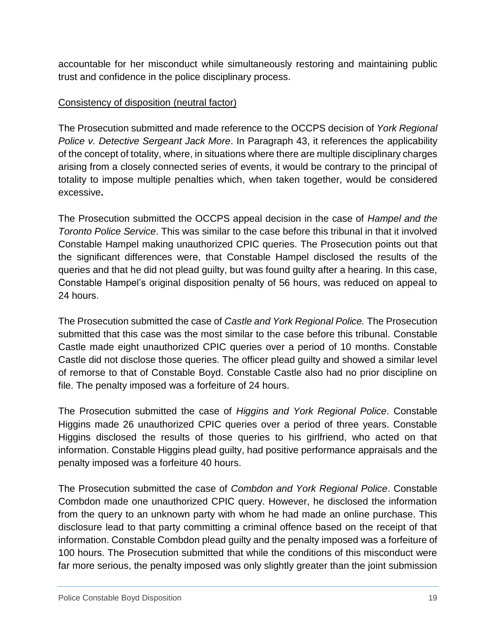accountable for her misconduct while simultaneously restoring and maintaining public trust and confidence in the police disciplinary process.

## Consistency of disposition (neutral factor)

The Prosecution submitted and made reference to the OCCPS decision of *York Regional Police v. Detective Sergeant Jack More*. In Paragraph 43, it references the applicability of the concept of totality, where, in situations where there are multiple disciplinary charges arising from a closely connected series of events, it would be contrary to the principal of totality to impose multiple penalties which, when taken together, would be considered excessive**.** 

The Prosecution submitted the OCCPS appeal decision in the case of *Hampel and the Toronto Police Service*. This was similar to the case before this tribunal in that it involved Constable Hampel making unauthorized CPIC queries. The Prosecution points out that the significant differences were, that Constable Hampel disclosed the results of the queries and that he did not plead guilty, but was found guilty after a hearing. In this case, Constable Hampel's original disposition penalty of 56 hours, was reduced on appeal to 24 hours.

The Prosecution submitted the case of *Castle and York Regional Police.* The Prosecution submitted that this case was the most similar to the case before this tribunal. Constable Castle made eight unauthorized CPIC queries over a period of 10 months. Constable Castle did not disclose those queries. The officer plead guilty and showed a similar level of remorse to that of Constable Boyd. Constable Castle also had no prior discipline on file. The penalty imposed was a forfeiture of 24 hours.

The Prosecution submitted the case of *Higgins and York Regional Police*. Constable Higgins made 26 unauthorized CPIC queries over a period of three years. Constable Higgins disclosed the results of those queries to his girlfriend, who acted on that information. Constable Higgins plead guilty, had positive performance appraisals and the penalty imposed was a forfeiture 40 hours.

The Prosecution submitted the case of *Combdon and York Regional Police*. Constable Combdon made one unauthorized CPIC query. However, he disclosed the information from the query to an unknown party with whom he had made an online purchase. This disclosure lead to that party committing a criminal offence based on the receipt of that information. Constable Combdon plead guilty and the penalty imposed was a forfeiture of 100 hours. The Prosecution submitted that while the conditions of this misconduct were far more serious, the penalty imposed was only slightly greater than the joint submission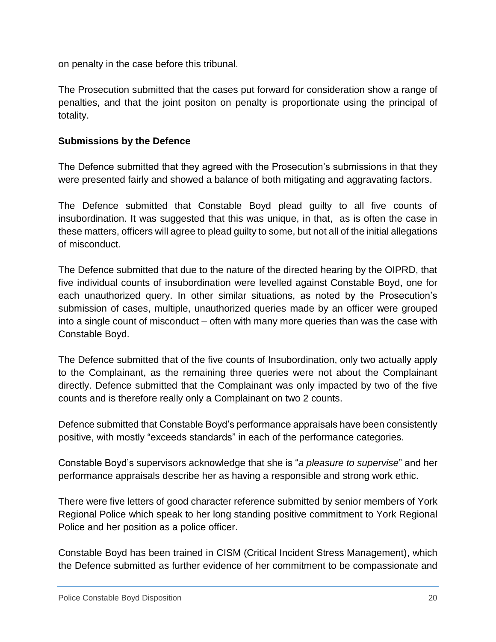on penalty in the case before this tribunal.

The Prosecution submitted that the cases put forward for consideration show a range of penalties, and that the joint positon on penalty is proportionate using the principal of totality.

#### **Submissions by the Defence**

The Defence submitted that they agreed with the Prosecution's submissions in that they were presented fairly and showed a balance of both mitigating and aggravating factors.

The Defence submitted that Constable Boyd plead guilty to all five counts of insubordination. It was suggested that this was unique, in that, as is often the case in these matters, officers will agree to plead guilty to some, but not all of the initial allegations of misconduct.

The Defence submitted that due to the nature of the directed hearing by the OIPRD, that five individual counts of insubordination were levelled against Constable Boyd, one for each unauthorized query. In other similar situations, as noted by the Prosecution's submission of cases, multiple, unauthorized queries made by an officer were grouped into a single count of misconduct – often with many more queries than was the case with Constable Boyd.

The Defence submitted that of the five counts of Insubordination, only two actually apply to the Complainant, as the remaining three queries were not about the Complainant directly. Defence submitted that the Complainant was only impacted by two of the five counts and is therefore really only a Complainant on two 2 counts.

Defence submitted that Constable Boyd's performance appraisals have been consistently positive, with mostly "exceeds standards" in each of the performance categories.

Constable Boyd's supervisors acknowledge that she is "*a pleasure to supervise*" and her performance appraisals describe her as having a responsible and strong work ethic.

There were five letters of good character reference submitted by senior members of York Regional Police which speak to her long standing positive commitment to York Regional Police and her position as a police officer.

Constable Boyd has been trained in CISM (Critical Incident Stress Management), which the Defence submitted as further evidence of her commitment to be compassionate and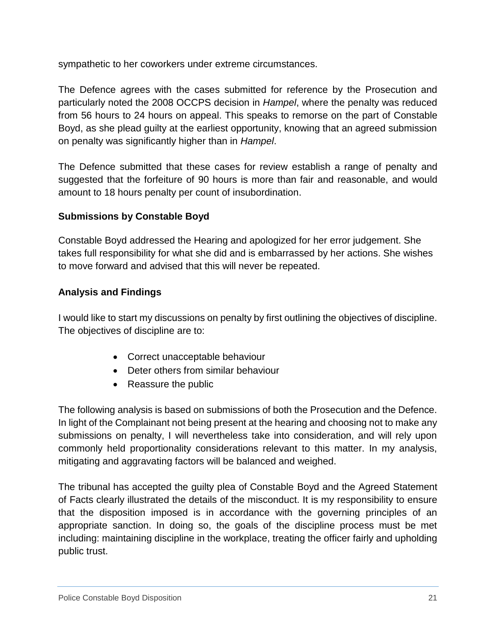sympathetic to her coworkers under extreme circumstances.

The Defence agrees with the cases submitted for reference by the Prosecution and particularly noted the 2008 OCCPS decision in *Hampel*, where the penalty was reduced from 56 hours to 24 hours on appeal. This speaks to remorse on the part of Constable Boyd, as she plead guilty at the earliest opportunity, knowing that an agreed submission on penalty was significantly higher than in *Hampel*.

The Defence submitted that these cases for review establish a range of penalty and suggested that the forfeiture of 90 hours is more than fair and reasonable, and would amount to 18 hours penalty per count of insubordination.

# **Submissions by Constable Boyd**

Constable Boyd addressed the Hearing and apologized for her error judgement. She takes full responsibility for what she did and is embarrassed by her actions. She wishes to move forward and advised that this will never be repeated.

# **Analysis and Findings**

I would like to start my discussions on penalty by first outlining the objectives of discipline. The objectives of discipline are to:

- Correct unacceptable behaviour
- Deter others from similar behaviour
- Reassure the public

The following analysis is based on submissions of both the Prosecution and the Defence. In light of the Complainant not being present at the hearing and choosing not to make any submissions on penalty, I will nevertheless take into consideration, and will rely upon commonly held proportionality considerations relevant to this matter. In my analysis, mitigating and aggravating factors will be balanced and weighed.

The tribunal has accepted the guilty plea of Constable Boyd and the Agreed Statement of Facts clearly illustrated the details of the misconduct. It is my responsibility to ensure that the disposition imposed is in accordance with the governing principles of an appropriate sanction. In doing so, the goals of the discipline process must be met including: maintaining discipline in the workplace, treating the officer fairly and upholding public trust.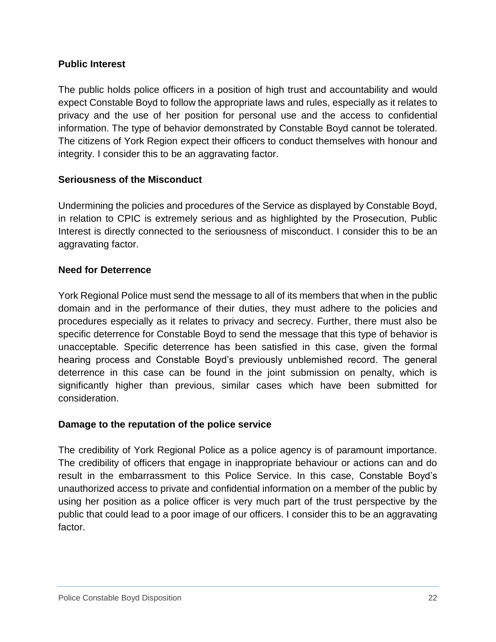## **Public Interest**

The public holds police officers in a position of high trust and accountability and would expect Constable Boyd to follow the appropriate laws and rules, especially as it relates to privacy and the use of her position for personal use and the access to confidential information. The type of behavior demonstrated by Constable Boyd cannot be tolerated. The citizens of York Region expect their officers to conduct themselves with honour and integrity. I consider this to be an aggravating factor.

#### **Seriousness of the Misconduct**

Undermining the policies and procedures of the Service as displayed by Constable Boyd, in relation to CPIC is extremely serious and as highlighted by the Prosecution, Public Interest is directly connected to the seriousness of misconduct. I consider this to be an aggravating factor.

#### **Need for Deterrence**

York Regional Police must send the message to all of its members that when in the public domain and in the performance of their duties, they must adhere to the policies and procedures especially as it relates to privacy and secrecy. Further, there must also be specific deterrence for Constable Boyd to send the message that this type of behavior is unacceptable. Specific deterrence has been satisfied in this case, given the formal hearing process and Constable Boyd's previously unblemished record. The general deterrence in this case can be found in the joint submission on penalty, which is significantly higher than previous, similar cases which have been submitted for consideration.

#### **Damage to the reputation of the police service**

The credibility of York Regional Police as a police agency is of paramount importance. The credibility of officers that engage in inappropriate behaviour or actions can and do result in the embarrassment to this Police Service. In this case, Constable Boyd's unauthorized access to private and confidential information on a member of the public by using her position as a police officer is very much part of the trust perspective by the public that could lead to a poor image of our officers. I consider this to be an aggravating factor.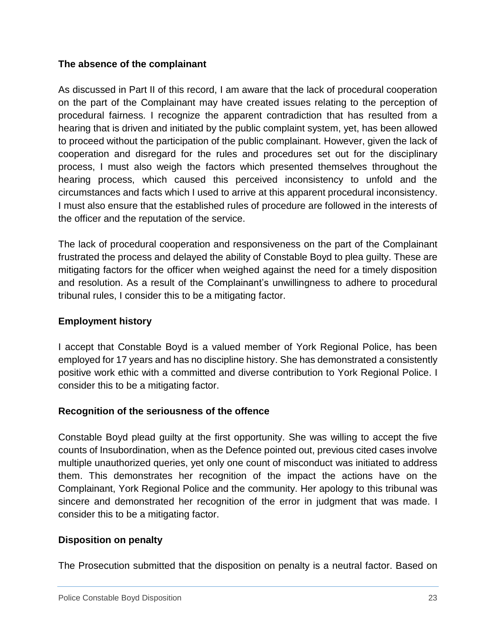## **The absence of the complainant**

As discussed in Part II of this record, I am aware that the lack of procedural cooperation on the part of the Complainant may have created issues relating to the perception of procedural fairness. I recognize the apparent contradiction that has resulted from a hearing that is driven and initiated by the public complaint system, yet, has been allowed to proceed without the participation of the public complainant. However, given the lack of cooperation and disregard for the rules and procedures set out for the disciplinary process, I must also weigh the factors which presented themselves throughout the hearing process, which caused this perceived inconsistency to unfold and the circumstances and facts which I used to arrive at this apparent procedural inconsistency. I must also ensure that the established rules of procedure are followed in the interests of the officer and the reputation of the service.

The lack of procedural cooperation and responsiveness on the part of the Complainant frustrated the process and delayed the ability of Constable Boyd to plea guilty. These are mitigating factors for the officer when weighed against the need for a timely disposition and resolution. As a result of the Complainant's unwillingness to adhere to procedural tribunal rules, I consider this to be a mitigating factor.

# **Employment history**

I accept that Constable Boyd is a valued member of York Regional Police, has been employed for 17 years and has no discipline history. She has demonstrated a consistently positive work ethic with a committed and diverse contribution to York Regional Police. I consider this to be a mitigating factor.

## **Recognition of the seriousness of the offence**

Constable Boyd plead guilty at the first opportunity. She was willing to accept the five counts of Insubordination, when as the Defence pointed out, previous cited cases involve multiple unauthorized queries, yet only one count of misconduct was initiated to address them. This demonstrates her recognition of the impact the actions have on the Complainant, York Regional Police and the community. Her apology to this tribunal was sincere and demonstrated her recognition of the error in judgment that was made. I consider this to be a mitigating factor.

## **Disposition on penalty**

The Prosecution submitted that the disposition on penalty is a neutral factor. Based on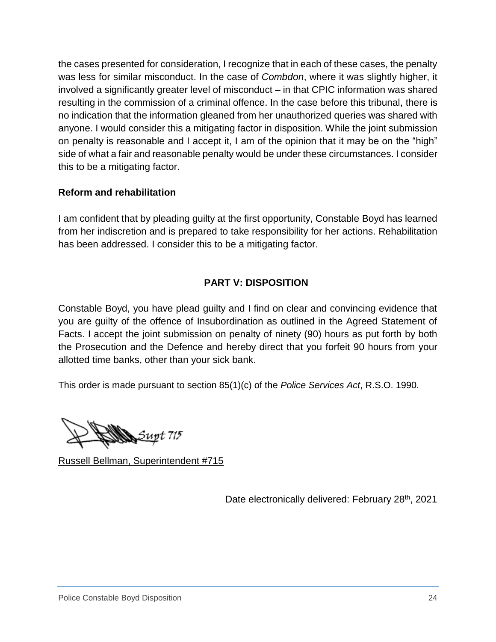the cases presented for consideration, I recognize that in each of these cases, the penalty was less for similar misconduct. In the case of *Combdon*, where it was slightly higher, it involved a significantly greater level of misconduct – in that CPIC information was shared resulting in the commission of a criminal offence. In the case before this tribunal, there is no indication that the information gleaned from her unauthorized queries was shared with anyone. I would consider this a mitigating factor in disposition. While the joint submission on penalty is reasonable and I accept it, I am of the opinion that it may be on the "high" side of what a fair and reasonable penalty would be under these circumstances. I consider this to be a mitigating factor.

## **Reform and rehabilitation**

I am confident that by pleading guilty at the first opportunity, Constable Boyd has learned from her indiscretion and is prepared to take responsibility for her actions. Rehabilitation has been addressed. I consider this to be a mitigating factor.

# **PART V: DISPOSITION**

Constable Boyd, you have plead guilty and I find on clear and convincing evidence that you are guilty of the offence of Insubordination as outlined in the Agreed Statement of Facts. I accept the joint submission on penalty of ninety (90) hours as put forth by both the Prosecution and the Defence and hereby direct that you forfeit 90 hours from your allotted time banks, other than your sick bank.

This order is made pursuant to section 85(1)(c) of the *Police Services Act*, R.S.O. 1990.

Supt 715

Russell Bellman, Superintendent #715

Date electronically delivered: February 28<sup>th</sup>, 2021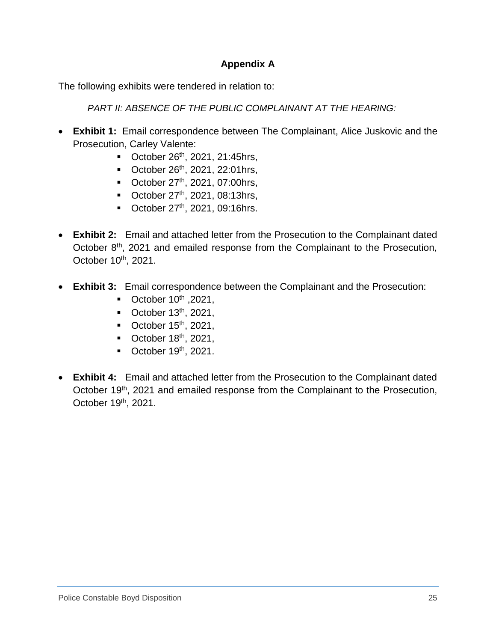## **Appendix A**

The following exhibits were tendered in relation to:

*PART II: ABSENCE OF THE PUBLIC COMPLAINANT AT THE HEARING:*

- **Exhibit 1:** Email correspondence between The Complainant, Alice Juskovic and the Prosecution, Carley Valente:
	- $\blacksquare$  October 26<sup>th</sup>, 2021, 21:45hrs,
	- $\blacksquare$  October 26<sup>th</sup>, 2021, 22:01hrs,
	- $\blacksquare$  October 27<sup>th</sup>, 2021, 07:00hrs,
	- October  $27^{th}$ , 2021, 08:13hrs,
	- October  $27<sup>th</sup>$ , 2021, 09:16hrs.
- **Exhibit 2:** Email and attached letter from the Prosecution to the Complainant dated October 8<sup>th</sup>, 2021 and emailed response from the Complainant to the Prosecution, October 10<sup>th</sup>, 2021.
- **Exhibit 3:** Email correspondence between the Complainant and the Prosecution:
	- October  $10^{th}$ , 2021,
	- $\blacksquare$  October 13<sup>th</sup>, 2021,
	- October  $15<sup>th</sup>$ , 2021,
	- October  $18<sup>th</sup>$ , 2021,
	- $\blacksquare$  October 19<sup>th</sup>, 2021.
- **Exhibit 4:** Email and attached letter from the Prosecution to the Complainant dated October 19<sup>th</sup>, 2021 and emailed response from the Complainant to the Prosecution, October 19<sup>th</sup>, 2021.